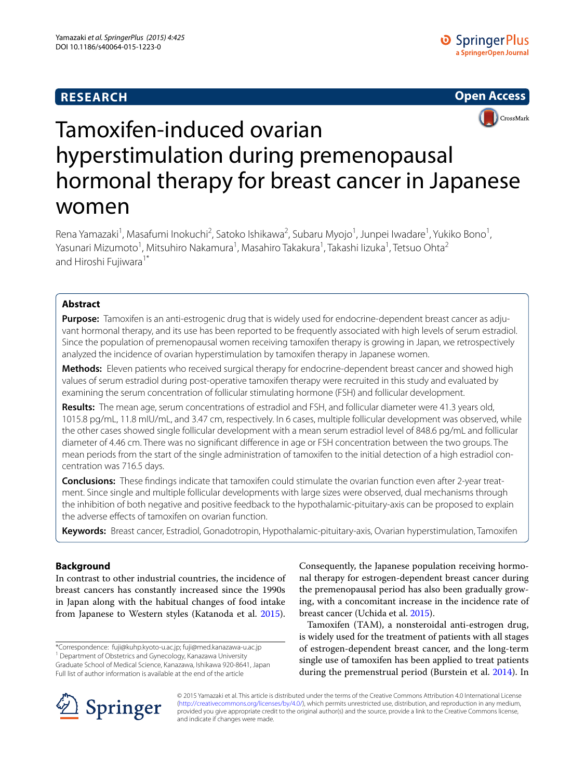## **RESEARCH**



# Tamoxifen-induced ovarian hyperstimulation during premenopausal hormonal therapy for breast cancer in Japanese women

Rena Yamazaki<sup>1</sup>, Masafumi Inokuchi<sup>2</sup>, Satoko Ishikawa<sup>2</sup>, Subaru Myojo<sup>1</sup>, Junpei Iwadare<sup>1</sup>, Yukiko Bono<sup>1</sup>, Yasunari Mizumoto<sup>1</sup>, Mitsuhiro Nakamura<sup>1</sup>, Masahiro Takakura<sup>1</sup>, Takashi Iizuka<sup>1</sup>, Tetsuo Ohta<sup>2</sup> and Hiroshi Fujiwara<sup>1\*</sup>

## **Abstract**

**Purpose:** Tamoxifen is an anti-estrogenic drug that is widely used for endocrine-dependent breast cancer as adjuvant hormonal therapy, and its use has been reported to be frequently associated with high levels of serum estradiol. Since the population of premenopausal women receiving tamoxifen therapy is growing in Japan, we retrospectively analyzed the incidence of ovarian hyperstimulation by tamoxifen therapy in Japanese women.

**Methods:** Eleven patients who received surgical therapy for endocrine-dependent breast cancer and showed high values of serum estradiol during post-operative tamoxifen therapy were recruited in this study and evaluated by examining the serum concentration of follicular stimulating hormone (FSH) and follicular development.

**Results:** The mean age, serum concentrations of estradiol and FSH, and follicular diameter were 41.3 years old, 1015.8 pg/mL, 11.8 mIU/mL, and 3.47 cm, respectively. In 6 cases, multiple follicular development was observed, while the other cases showed single follicular development with a mean serum estradiol level of 848.6 pg/mL and follicular diameter of 4.46 cm. There was no significant difference in age or FSH concentration between the two groups. The mean periods from the start of the single administration of tamoxifen to the initial detection of a high estradiol concentration was 716.5 days.

**Conclusions:** These findings indicate that tamoxifen could stimulate the ovarian function even after 2-year treatment. Since single and multiple follicular developments with large sizes were observed, dual mechanisms through the inhibition of both negative and positive feedback to the hypothalamic-pituitary-axis can be proposed to explain the adverse effects of tamoxifen on ovarian function.

**Keywords:** Breast cancer, Estradiol, Gonadotropin, Hypothalamic-pituitary-axis, Ovarian hyperstimulation, Tamoxifen

### **Background**

In contrast to other industrial countries, the incidence of breast cancers has constantly increased since the 1990s in Japan along with the habitual changes of food intake from Japanese to Western styles (Katanoda et al. [2015](#page-3-0)).

\*Correspondence: fuji@kuhp.kyoto-u.ac.jp; fuji@med.kanazawa-u.ac.jp 1 Department of Obstetrics and Gynecology, Kanazawa University Graduate School of Medical Science, Kanazawa, Ishikawa 920-8641, Japan Full list of author information is available at the end of the article

Consequently, the Japanese population receiving hormonal therapy for estrogen-dependent breast cancer during the premenopausal period has also been gradually growing, with a concomitant increase in the incidence rate of breast cancer (Uchida et al. [2015](#page-4-0)).

Tamoxifen (TAM), a nonsteroidal anti-estrogen drug, is widely used for the treatment of patients with all stages of estrogen-dependent breast cancer, and the long-term single use of tamoxifen has been applied to treat patients during the premenstrual period (Burstein et al. [2014](#page-3-1)). In



© 2015 Yamazaki et al. This article is distributed under the terms of the Creative Commons Attribution 4.0 International License [\(http://creativecommons.org/licenses/by/4.0/\)](http://creativecommons.org/licenses/by/4.0/), which permits unrestricted use, distribution, and reproduction in any medium, provided you give appropriate credit to the original author(s) and the source, provide a link to the Creative Commons license, and indicate if changes were made.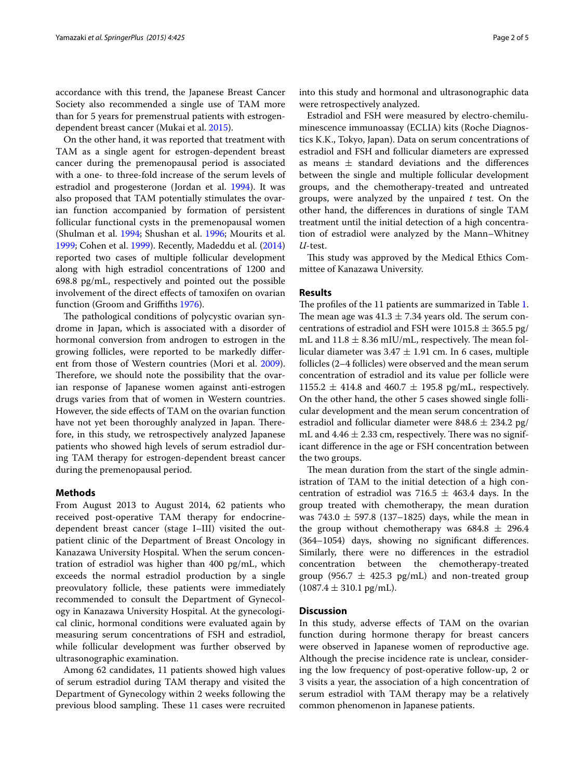accordance with this trend, the Japanese Breast Cancer Society also recommended a single use of TAM more than for 5 years for premenstrual patients with estrogendependent breast cancer (Mukai et al. [2015](#page-4-1)).

On the other hand, it was reported that treatment with TAM as a single agent for estrogen-dependent breast cancer during the premenopausal period is associated with a one- to three-fold increase of the serum levels of estradiol and progesterone (Jordan et al. [1994\)](#page-3-2). It was also proposed that TAM potentially stimulates the ovarian function accompanied by formation of persistent follicular functional cysts in the premenopausal women (Shulman et al. [1994](#page-4-2); Shushan et al. [1996;](#page-4-3) Mourits et al. [1999](#page-4-4); Cohen et al. [1999\)](#page-3-3). Recently, Madeddu et al. ([2014](#page-3-4)) reported two cases of multiple follicular development along with high estradiol concentrations of 1200 and 698.8 pg/mL, respectively and pointed out the possible involvement of the direct effects of tamoxifen on ovarian function (Groom and Griffiths [1976\)](#page-3-5).

The pathological conditions of polycystic ovarian syndrome in Japan, which is associated with a disorder of hormonal conversion from androgen to estrogen in the growing follicles, were reported to be markedly different from those of Western countries (Mori et al. [2009](#page-3-6)). Therefore, we should note the possibility that the ovarian response of Japanese women against anti-estrogen drugs varies from that of women in Western countries. However, the side effects of TAM on the ovarian function have not yet been thoroughly analyzed in Japan. Therefore, in this study, we retrospectively analyzed Japanese patients who showed high levels of serum estradiol during TAM therapy for estrogen-dependent breast cancer during the premenopausal period.

#### **Methods**

From August 2013 to August 2014, 62 patients who received post-operative TAM therapy for endocrinedependent breast cancer (stage I–III) visited the outpatient clinic of the Department of Breast Oncology in Kanazawa University Hospital. When the serum concentration of estradiol was higher than 400 pg/mL, which exceeds the normal estradiol production by a single preovulatory follicle, these patients were immediately recommended to consult the Department of Gynecology in Kanazawa University Hospital. At the gynecological clinic, hormonal conditions were evaluated again by measuring serum concentrations of FSH and estradiol, while follicular development was further observed by ultrasonographic examination.

Among 62 candidates, 11 patients showed high values of serum estradiol during TAM therapy and visited the Department of Gynecology within 2 weeks following the previous blood sampling. These 11 cases were recruited into this study and hormonal and ultrasonographic data were retrospectively analyzed.

Estradiol and FSH were measured by electro-chemiluminescence immunoassay (ECLIA) kits (Roche Diagnostics K.K., Tokyo, Japan). Data on serum concentrations of estradiol and FSH and follicular diameters are expressed as means  $\pm$  standard deviations and the differences between the single and multiple follicular development groups, and the chemotherapy-treated and untreated groups, were analyzed by the unpaired *t* test. On the other hand, the differences in durations of single TAM treatment until the initial detection of a high concentration of estradiol were analyzed by the Mann–Whitney *U*-test.

This study was approved by the Medical Ethics Committee of Kanazawa University.

#### **Results**

The profiles of the 11 patients are summarized in Table [1](#page-2-0). The mean age was  $41.3 \pm 7.34$  years old. The serum concentrations of estradiol and FSH were  $1015.8 \pm 365.5$  pg/ mL and  $11.8 \pm 8.36$  mIU/mL, respectively. The mean follicular diameter was  $3.47 \pm 1.91$  cm. In 6 cases, multiple follicles (2–4 follicles) were observed and the mean serum concentration of estradiol and its value per follicle were 1155.2  $\pm$  414.8 and 460.7  $\pm$  195.8 pg/mL, respectively. On the other hand, the other 5 cases showed single follicular development and the mean serum concentration of estradiol and follicular diameter were  $848.6 \pm 234.2$  pg/ mL and  $4.46 \pm 2.33$  cm, respectively. There was no significant difference in the age or FSH concentration between the two groups.

The mean duration from the start of the single administration of TAM to the initial detection of a high concentration of estradiol was 716.5  $\pm$  463.4 days. In the group treated with chemotherapy, the mean duration was 743.0  $\pm$  597.8 (137–1825) days, while the mean in the group without chemotherapy was  $684.8 \pm 296.4$ (364–1054) days, showing no significant differences. Similarly, there were no differences in the estradiol concentration between the chemotherapy-treated group (956.7  $\pm$  425.3 pg/mL) and non-treated group  $(1087.4 \pm 310.1 \text{ pg/mL}).$ 

#### **Discussion**

In this study, adverse effects of TAM on the ovarian function during hormone therapy for breast cancers were observed in Japanese women of reproductive age. Although the precise incidence rate is unclear, considering the low frequency of post-operative follow-up, 2 or 3 visits a year, the association of a high concentration of serum estradiol with TAM therapy may be a relatively common phenomenon in Japanese patients.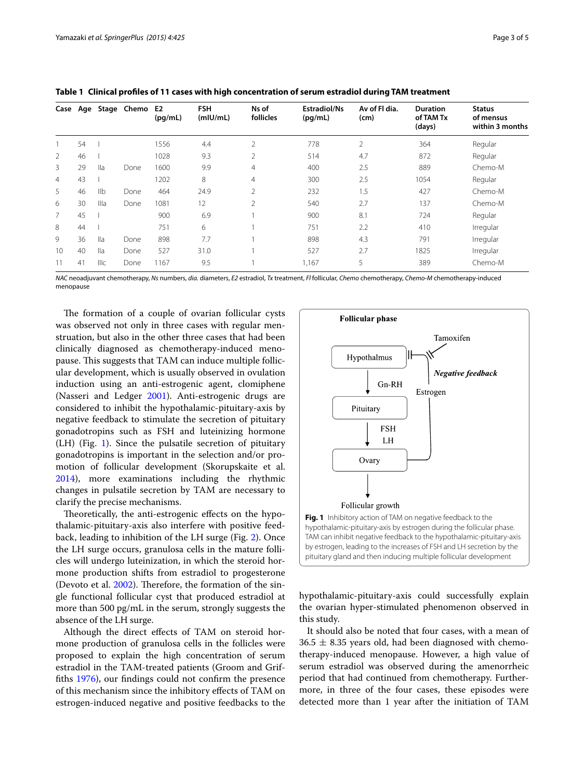| Case           |    |                 | Age Stage Chemo | E <sub>2</sub><br>(pq/mL) | <b>FSH</b><br>(mIU/mL) | Ns of<br>follicles | <b>Estradiol/Ns</b><br>(pq/mL) | Av of Fl dia.<br>(cm) | <b>Duration</b><br>of TAM Tx<br>(days) | <b>Status</b><br>of mensus<br>within 3 months |
|----------------|----|-----------------|-----------------|---------------------------|------------------------|--------------------|--------------------------------|-----------------------|----------------------------------------|-----------------------------------------------|
|                | 54 |                 |                 | 1556                      | 4.4                    | $\overline{2}$     | 778                            | $\overline{2}$        | 364                                    | Regular                                       |
| 2              | 46 |                 |                 | 1028                      | 9.3                    | $\overline{2}$     | 514                            | 4.7                   | 872                                    | Regular                                       |
| 3              | 29 | $\mathsf{II}$ a | Done            | 1600                      | 9.9                    | $\overline{4}$     | 400                            | 2.5                   | 889                                    | Chemo-M                                       |
| 4              | 43 |                 |                 | 1202                      | 8                      | $\overline{4}$     | 300                            | 2.5                   | 1054                                   | Regular                                       |
| 5              | 46 | I <sub>II</sub> | Done            | 464                       | 24.9                   | $\overline{2}$     | 232                            | 1.5                   | 427                                    | Chemo-M                                       |
| 6              | 30 | Illa            | Done            | 1081                      | 12                     | 2                  | 540                            | 2.7                   | 137                                    | Chemo-M                                       |
| $\overline{7}$ | 45 |                 |                 | 900                       | 6.9                    |                    | 900                            | 8.1                   | 724                                    | Regular                                       |
| 8              | 44 |                 |                 | 751                       | 6                      |                    | 751                            | 2.2                   | 410                                    | Irregular                                     |
| 9              | 36 | $\mathsf{II}$ a | Done            | 898                       | 7.7                    |                    | 898                            | 4.3                   | 791                                    | Irregular                                     |
| 10             | 40 | $\mathsf{II}$ a | Done            | 527                       | 31.0                   |                    | 527                            | 2.7                   | 1825                                   | Irregular                                     |
| 11             | 41 | <b>IIIc</b>     | Done            | 1167                      | 9.5                    |                    | 1,167                          | 5                     | 389                                    | Chemo-M                                       |

<span id="page-2-0"></span>**Table 1 Clinical profiles of 11 cases with high concentration of serum estradiol during TAM treatment**

*NAC* neoadjuvant chemotherapy, *Ns* numbers, *dia.* diameters, *E2* estradiol, *Tx* treatment, *Fl* follicular, *Chemo* chemotherapy, *Chemo-M* chemotherapy-induced menopause

The formation of a couple of ovarian follicular cysts was observed not only in three cases with regular menstruation, but also in the other three cases that had been clinically diagnosed as chemotherapy-induced menopause. This suggests that TAM can induce multiple follicular development, which is usually observed in ovulation induction using an anti-estrogenic agent, clomiphene (Nasseri and Ledger [2001\)](#page-4-5). Anti-estrogenic drugs are considered to inhibit the hypothalamic-pituitary-axis by negative feedback to stimulate the secretion of pituitary gonadotropins such as FSH and luteinizing hormone (LH) (Fig. [1](#page-2-1)). Since the pulsatile secretion of pituitary gonadotropins is important in the selection and/or promotion of follicular development (Skorupskaite et al. [2014](#page-4-6)), more examinations including the rhythmic changes in pulsatile secretion by TAM are necessary to clarify the precise mechanisms.

Theoretically, the anti-estrogenic effects on the hypothalamic-pituitary-axis also interfere with positive feedback, leading to inhibition of the LH surge (Fig. [2](#page-3-7)). Once the LH surge occurs, granulosa cells in the mature follicles will undergo luteinization, in which the steroid hormone production shifts from estradiol to progesterone (Devoto et al. [2002](#page-3-8)). Therefore, the formation of the single functional follicular cyst that produced estradiol at more than 500 pg/mL in the serum, strongly suggests the absence of the LH surge.

Although the direct effects of TAM on steroid hormone production of granulosa cells in the follicles were proposed to explain the high concentration of serum estradiol in the TAM-treated patients (Groom and Griffiths [1976](#page-3-5)), our findings could not confirm the presence of this mechanism since the inhibitory effects of TAM on estrogen-induced negative and positive feedbacks to the



<span id="page-2-1"></span>hypothalamic-pituitary-axis could successfully explain the ovarian hyper-stimulated phenomenon observed in this study.

It should also be noted that four cases, with a mean of  $36.5 \pm 8.35$  years old, had been diagnosed with chemotherapy-induced menopause. However, a high value of serum estradiol was observed during the amenorrheic period that had continued from chemotherapy. Furthermore, in three of the four cases, these episodes were detected more than 1 year after the initiation of TAM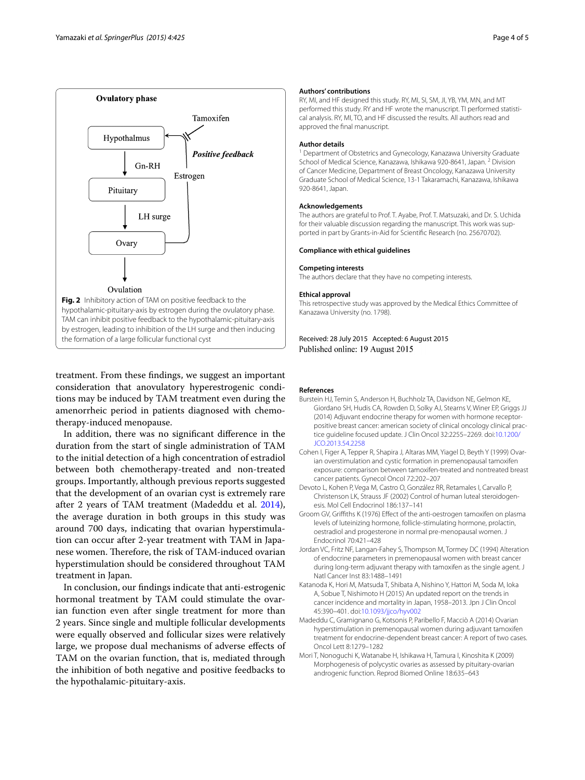

<span id="page-3-7"></span>treatment. From these findings, we suggest an important consideration that anovulatory hyperestrogenic conditions may be induced by TAM treatment even during the amenorrheic period in patients diagnosed with chemotherapy-induced menopause.

In addition, there was no significant difference in the duration from the start of single administration of TAM to the initial detection of a high concentration of estradiol between both chemotherapy-treated and non-treated groups. Importantly, although previous reports suggested that the development of an ovarian cyst is extremely rare after 2 years of TAM treatment (Madeddu et al. [2014](#page-3-4)), the average duration in both groups in this study was around 700 days, indicating that ovarian hyperstimulation can occur after 2-year treatment with TAM in Japanese women. Therefore, the risk of TAM-induced ovarian hyperstimulation should be considered throughout TAM treatment in Japan.

In conclusion, our findings indicate that anti-estrogenic hormonal treatment by TAM could stimulate the ovarian function even after single treatment for more than 2 years. Since single and multiple follicular developments were equally observed and follicular sizes were relatively large, we propose dual mechanisms of adverse effects of TAM on the ovarian function, that is, mediated through the inhibition of both negative and positive feedbacks to the hypothalamic-pituitary-axis.

#### **Authors' contributions**

RY, MI, and HF designed this study. RY, MI, SI, SM, JI, YB, YM, MN, and MT performed this study. RY and HF wrote the manuscript. TI performed statistical analysis. RY, MI, TO, and HF discussed the results. All authors read and approved the final manuscript.

#### **Author details**

<sup>1</sup> Department of Obstetrics and Gynecology, Kanazawa University Graduate School of Medical Science, Kanazawa, Ishikawa 920-8641, Japan. <sup>2</sup> Division of Cancer Medicine, Department of Breast Oncology, Kanazawa University Graduate School of Medical Science, 13-1 Takaramachi, Kanazawa, Ishikawa 920-8641, Japan.

#### **Acknowledgements**

The authors are grateful to Prof. T. Ayabe, Prof. T. Matsuzaki, and Dr. S. Uchida for their valuable discussion regarding the manuscript. This work was supported in part by Grants-in-Aid for Scientific Research (no. 25670702).

#### **Compliance with ethical guidelines**

#### **Competing interests**

The authors declare that they have no competing interests.

#### **Ethical approval**

This retrospective study was approved by the Medical Ethics Committee of Kanazawa University (no. 1798).

#### Received: 28 July 2015 Accepted: 6 August 2015 Published online: 19 August 2015

#### **References**

- <span id="page-3-1"></span>Burstein HJ, Temin S, Anderson H, Buchholz TA, Davidson NE, Gelmon KE, Giordano SH, Hudis CA, Rowden D, Solky AJ, Stearns V, Winer EP, Griggs JJ (2014) Adjuvant endocrine therapy for women with hormone receptorpositive breast cancer: american society of clinical oncology clinical practice guideline focused update. J Clin Oncol 32:2255–2269. doi[:10.1200/](http://dx.doi.org/10.1200/JCO.2013.54.2258) [JCO.2013.54.2258](http://dx.doi.org/10.1200/JCO.2013.54.2258)
- <span id="page-3-3"></span>Cohen I, Figer A, Tepper R, Shapira J, Altaras MM, Yiagel D, Beyth Y (1999) Ovarian overstimulation and cystic formation in premenopausal tamoxifen exposure: comparison between tamoxifen-treated and nontreated breast cancer patients. Gynecol Oncol 72:202–207
- <span id="page-3-8"></span>Devoto L, Kohen P, Vega M, Castro O, González RR, Retamales I, Carvallo P, Christenson LK, Strauss JF (2002) Control of human luteal steroidogenesis. Mol Cell Endocrinol 186:137–141
- <span id="page-3-5"></span>Groom GV, Griffiths K (1976) Effect of the anti-oestrogen tamoxifen on plasma levels of luteinizing hormone, follicle-stimulating hormone, prolactin, oestradiol and progesterone in normal pre-menopausal women. J Endocrinol 70:421–428
- <span id="page-3-2"></span>Jordan VC, Fritz NF, Langan-Fahey S, Thompson M, Tormey DC (1994) Alteration of endocrine parameters in premenopausal women with breast cancer during long-term adjuvant therapy with tamoxifen as the single agent. J Natl Cancer Inst 83:1488–1491
- <span id="page-3-0"></span>Katanoda K, Hori M, Matsuda T, Shibata A, Nishino Y, Hattori M, Soda M, Ioka A, Sobue T, Nishimoto H (2015) An updated report on the trends in cancer incidence and mortality in Japan, 1958–2013. Jpn J Clin Oncol 45:390–401. doi:[10.1093/jjco/hyv002](http://dx.doi.org/10.1093/jjco/hyv002)
- <span id="page-3-4"></span>Madeddu C, Gramignano G, Kotsonis P, Paribello F, Macciò A (2014) Ovarian hyperstimulation in premenopausal women during adjuvant tamoxifen treatment for endocrine-dependent breast cancer: A report of two cases. Oncol Lett 8:1279–1282
- <span id="page-3-6"></span>Mori T, Nonoguchi K, Watanabe H, Ishikawa H, Tamura I, Kinoshita K (2009) Morphogenesis of polycystic ovaries as assessed by pituitary-ovarian androgenic function. Reprod Biomed Online 18:635–643